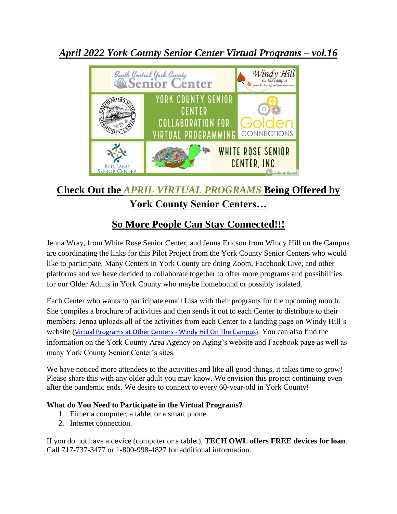



## **Check Out the** *APRIL VIRTUAL PROGRAMS* **Being Offered by York County Senior Centers…**

# **So More People Can Stay Connected!!!**

Jenna Wray, from White Rose Senior Center, and Jenna Ericson from Windy Hill on the Campus are coordinating the links for this Pilot Project from the York County Senior Centers who would like to participate. Many Centers in York County are doing Zoom, Facebook Live, and other platforms and we have decided to collaborate together to offer more programs and possibilities for our Older Adults in York County who maybe homebound or possibly isolated.

Each Center who wants to participate email Lisa with their programs for the upcoming month. She compiles a brochure of activities and then sends it out to each Center to distribute to their members. Jenna uploads all of the activities from each Center to a landing page on Windy Hill's website ([Virtual Programs at Other Centers -](https://www.windyhillonthecampus.org/virtual-programs-at-other-centers) Windy Hill On The Campus). You can also find the information on the York County Area Agency on Aging's website and Facebook page as well as many York County Senior Center's sites.

We have noticed more attendees to the activities and like all good things, it takes time to grow! Please share this with any older adult you may know. We envision this project continuing even after the pandemic ends. We desire to connect to every 60-year-old in York County!

#### **What do You Need to Participate in the Virtual Programs?**

- 1. Either a computer, a tablet or a smart phone.
- 2. Internet connection.

If you do not have a device (computer or a tablet), **TECH OWL offers FREE devices for loan**. Call 717-737-3477 or 1-800-998-4827 for additional information.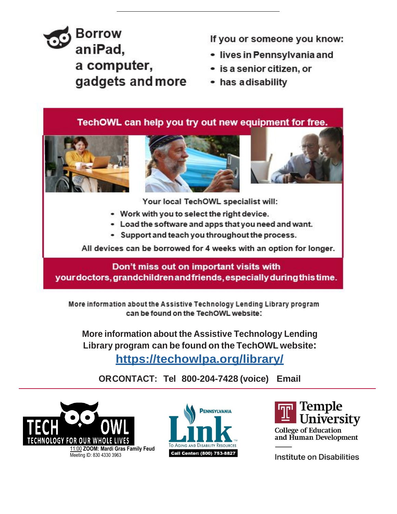# **Borrow** aniPad, a computer, gadgets and more

If you or someone you know:

- · lives in Pennsylvania and
- · is a senior citizen, or
- has adisability

TechOWL can help you try out new equipment for free.





Your local TechOWL specialist will:

- Work with you to select the right device.
- Load the software and apps that you need and want.
- Support and teach you throughout the process.

All devices can be borrowed for 4 weeks with an option for longer.

Don't miss out on important visits with your doctors, grandchildren and friends, especially during this time.

More information about the Assistive Technology Lending Library program can be found on the TechOWL website:

More information about the Assistive Technology Lending Library program can be found on the TechOWL website: https://techowlpa.org/library/

ORCONTACT: Tel 800-204-7428 (voice) Email







Institute on Disabilities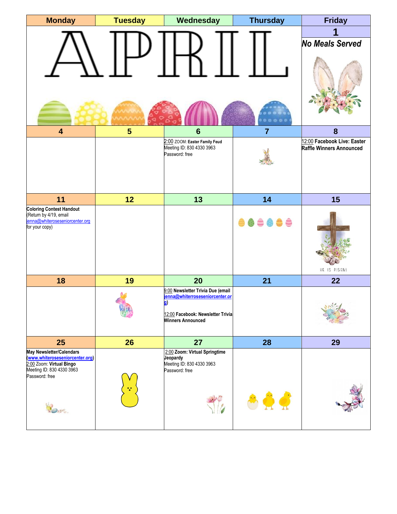| <b>Monday</b>                                                                                                 | <b>Tuesday</b> | Wednesday                                                                                                                                           | <b>Thursday</b> | <b>Friday</b>                                           |
|---------------------------------------------------------------------------------------------------------------|----------------|-----------------------------------------------------------------------------------------------------------------------------------------------------|-----------------|---------------------------------------------------------|
|                                                                                                               |                |                                                                                                                                                     |                 | 1<br><b>No Meals Served</b>                             |
| $\overline{\mathbf{4}}$                                                                                       | $5\phantom{1}$ | $6\phantom{1}6$                                                                                                                                     | $\overline{7}$  | $\boldsymbol{8}$                                        |
|                                                                                                               |                | 2:00 ZOOM: Easter Family Feud<br>Meeting ID: 830 4330 3963<br>Password: free                                                                        |                 | 12:00 Facebook Live: Easter<br>Raffle Winners Announced |
| 11                                                                                                            | 12             | 13                                                                                                                                                  | 14              | 15                                                      |
| <b>Coloring Contest Handout</b><br>(Return by 4/19, email<br>enna@whiteroseseniorcenter.org<br>for your copy) |                |                                                                                                                                                     |                 | HE IS RISEN!                                            |
| 18                                                                                                            | 19             | 20                                                                                                                                                  | 21              | 22                                                      |
|                                                                                                               |                | 9:00 Newsletter Trivia Due (email<br>ienna@whiterroseseniorcenter.or<br><b>g</b> )<br>12:00 Facebook: Newsletter Trivia<br><b>Winners Announced</b> |                 | $\mathbf{E} = \mathbf{E} \times \mathbf{E}$             |
|                                                                                                               |                |                                                                                                                                                     |                 |                                                         |
| 25                                                                                                            | 26             | 27                                                                                                                                                  | 28              | 29                                                      |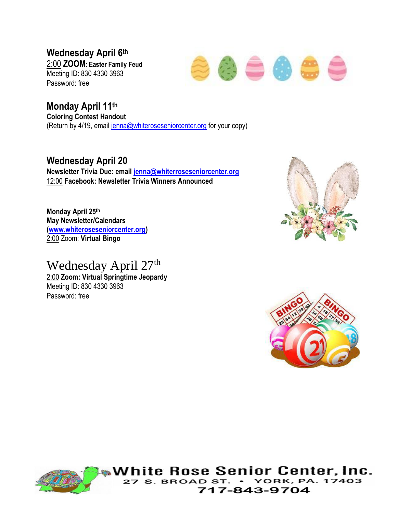**Wednesday April 6th** 2:00 **ZOOM**: **Easter Family Feud** Meeting ID: 830 4330 3963 Password: free



**Monday April 11th Coloring Contest Handout** (Return by 4/19, email [jenna@whiteroseseniorcenter.org](mailto:jenna@whiteroseseniorcenter.org) for your copy)

### **Wednesday April 20**

**Newsletter Trivia Due: email [jenna@whiterroseseniorcenter.org](mailto:jenna@whiterroseseniorcenter.org)** 12:00 **Facebook: Newsletter Trivia Winners Announced** 

**Monday April 25th May Newsletter/Calendars [\(www.whiteroseseniorcenter.org\)](http://www.whiteroseseniorcenter.org/)**  2:00 Zoom: **Virtual Bingo**

Wednesday April 27<sup>th</sup> 2:00 **Zoom: Virtual Springtime Jeopardy**

Meeting ID: 830 4330 3963 Password: free







White Rose Senior Center, Inc. **YORK, PA. 17403 BROAD** 717-843-9704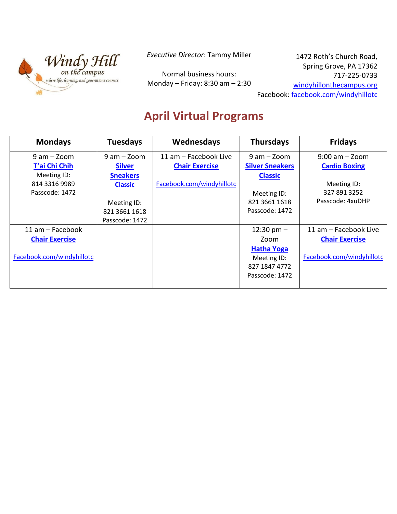

*Executive Director*: Tammy Miller

Normal business hours: Monday – Friday: 8:30 am – 2:30

1472 Roth's Church Road, Spring Grove, PA 17362 717-225-0733 [windyhillonthecampus.org](https://d.docs.live.net/b76e7d8e4a28f865/Documents/Virtual%20Programming/windyhillonthecampus.org) Facebook: [facebook.com/windyhillotc](https://d.docs.live.net/b76e7d8e4a28f865/Documents/Virtual%20Programming/facebook.com/windyhillotc)

# **April Virtual Programs**

| <b>Mondays</b>            | <b>Tuesdays</b> | Wednesdays                | <b>Thursdays</b>       | <b>Fridays</b>            |
|---------------------------|-----------------|---------------------------|------------------------|---------------------------|
| $9$ am $-$ Zoom           | $9 am - Zoom$   | 11 am - Facebook Live     | $9$ am $-$ Zoom        | $9:00$ am $-$ Zoom        |
| T'ai Chi Chih             | <b>Silver</b>   | <b>Chair Exercise</b>     | <b>Silver Sneakers</b> | <b>Cardio Boxing</b>      |
| Meeting ID:               | <b>Sneakers</b> |                           | <b>Classic</b>         |                           |
| 814 3316 9989             | <b>Classic</b>  | Facebook.com/windyhillotc |                        | Meeting ID:               |
| Passcode: 1472            |                 |                           | Meeting ID:            | 327 891 3252              |
|                           | Meeting ID:     |                           | 821 3661 1618          | Passcode: 4xuDHP          |
|                           | 821 3661 1618   |                           | Passcode: 1472         |                           |
|                           | Passcode: 1472  |                           |                        |                           |
| $11$ am $-$ Facebook      |                 |                           | 12:30 pm $-$           | 11 am - Facebook Live     |
| <b>Chair Exercise</b>     |                 |                           | Zoom                   | <b>Chair Exercise</b>     |
|                           |                 |                           | <b>Hatha Yoga</b>      |                           |
| Facebook.com/windyhillotc |                 |                           | Meeting ID:            | Facebook.com/windyhillotc |
|                           |                 |                           | 827 1847 4772          |                           |
|                           |                 |                           | Passcode: 1472         |                           |
|                           |                 |                           |                        |                           |